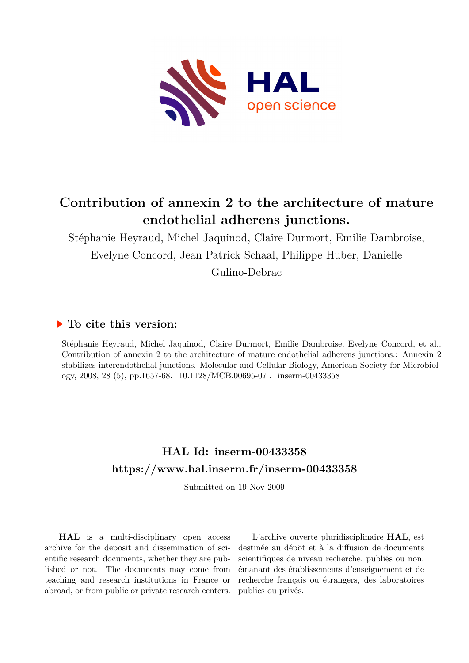

# **Contribution of annexin 2 to the architecture of mature endothelial adherens junctions.**

Stéphanie Heyraud, Michel Jaquinod, Claire Durmort, Emilie Dambroise, Evelyne Concord, Jean Patrick Schaal, Philippe Huber, Danielle

Gulino-Debrac

# **To cite this version:**

Stéphanie Heyraud, Michel Jaquinod, Claire Durmort, Emilie Dambroise, Evelyne Concord, et al.. Contribution of annexin 2 to the architecture of mature endothelial adherens junctions.: Annexin 2 stabilizes interendothelial junctions. Molecular and Cellular Biology, American Society for Microbiology, 2008, 28 (5), pp.1657-68. 10.1128/MCB.00695-07. inserm-00433358

# **HAL Id: inserm-00433358 <https://www.hal.inserm.fr/inserm-00433358>**

Submitted on 19 Nov 2009

**HAL** is a multi-disciplinary open access archive for the deposit and dissemination of scientific research documents, whether they are published or not. The documents may come from teaching and research institutions in France or abroad, or from public or private research centers.

L'archive ouverte pluridisciplinaire **HAL**, est destinée au dépôt et à la diffusion de documents scientifiques de niveau recherche, publiés ou non, émanant des établissements d'enseignement et de recherche français ou étrangers, des laboratoires publics ou privés.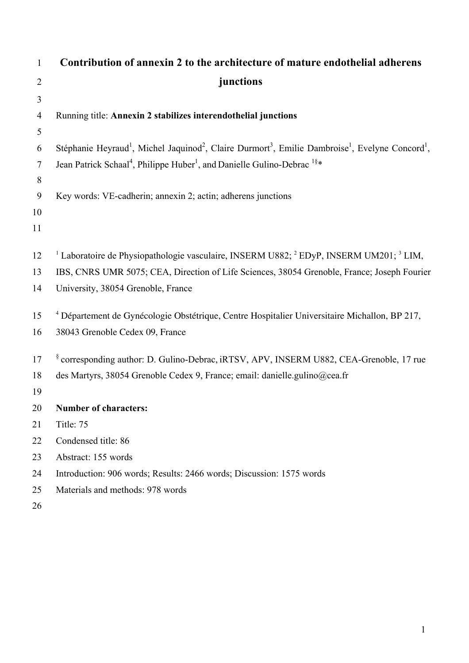| $\mathbf{1}$   | Contribution of annexin 2 to the architecture of mature endothelial adherens                                                                                 |
|----------------|--------------------------------------------------------------------------------------------------------------------------------------------------------------|
| $\overline{2}$ | junctions                                                                                                                                                    |
| $\mathfrak{Z}$ |                                                                                                                                                              |
| $\overline{4}$ | Running title: Annexin 2 stabilizes interendothelial junctions                                                                                               |
| 5              |                                                                                                                                                              |
| 6              | Stéphanie Heyraud <sup>1</sup> , Michel Jaquinod <sup>2</sup> , Claire Durmort <sup>3</sup> , Emilie Dambroise <sup>1</sup> , Evelyne Concord <sup>1</sup> , |
| $\tau$         | Jean Patrick Schaal <sup>4</sup> , Philippe Huber <sup>1</sup> , and Danielle Gulino-Debrac <sup>1§*</sup>                                                   |
| $8\,$          |                                                                                                                                                              |
| 9              | Key words: VE-cadherin; annexin 2; actin; adherens junctions                                                                                                 |
| 10             |                                                                                                                                                              |
| 11             |                                                                                                                                                              |
|                |                                                                                                                                                              |
| 12             | <sup>1</sup> Laboratoire de Physiopathologie vasculaire, INSERM U882; <sup>2</sup> EDyP, INSERM UM201; <sup>3</sup> LIM,                                     |
| 13             | IBS, CNRS UMR 5075; CEA, Direction of Life Sciences, 38054 Grenoble, France; Joseph Fourier                                                                  |
| 14             | University, 38054 Grenoble, France                                                                                                                           |
| 15             | <sup>4</sup> Département de Gynécologie Obstétrique, Centre Hospitalier Universitaire Michallon, BP 217,                                                     |
| 16             | 38043 Grenoble Cedex 09, France                                                                                                                              |
|                |                                                                                                                                                              |
| 17             | <sup>§</sup> corresponding author: D. Gulino-Debrac, iRTSV, APV, INSERM U882, CEA-Grenoble, 17 rue                                                           |
| 18             | des Martyrs, 38054 Grenoble Cedex 9, France; email: danielle.gulino@cea.fr                                                                                   |
| 19             |                                                                                                                                                              |
| 20             | <b>Number of characters:</b>                                                                                                                                 |
| 21             | Title: 75                                                                                                                                                    |
| 22             | Condensed title: 86                                                                                                                                          |
| 23             | Abstract: 155 words                                                                                                                                          |
| 24             | Introduction: 906 words; Results: 2466 words; Discussion: 1575 words                                                                                         |
| 25             | Materials and methods: 978 words                                                                                                                             |
| 26             |                                                                                                                                                              |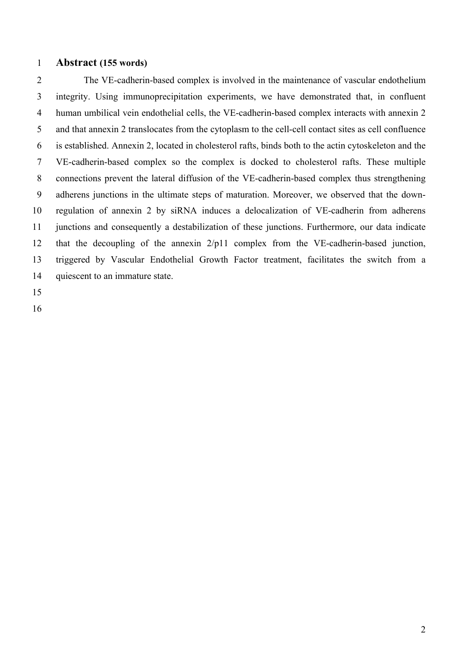### 1 **Abstract (155 words)**

2 3 4 5 6 7 8 9 10 11 12 13 14 The VE-cadherin-based complex is involved in the maintenance of vascular endothelium integrity. Using immunoprecipitation experiments, we have demonstrated that, in confluent human umbilical vein endothelial cells, the VE-cadherin-based complex interacts with annexin 2 and that annexin 2 translocates from the cytoplasm to the cell-cell contact sites as cell confluence is established. Annexin 2, located in cholesterol rafts, binds both to the actin cytoskeleton and the VE-cadherin-based complex so the complex is docked to cholesterol rafts. These multiple connections prevent the lateral diffusion of the VE-cadherin-based complex thus strengthening adherens junctions in the ultimate steps of maturation. Moreover, we observed that the downregulation of annexin 2 by siRNA induces a delocalization of VE-cadherin from adherens junctions and consequently a destabilization of these junctions. Furthermore, our data indicate that the decoupling of the annexin 2/p11 complex from the VE-cadherin-based junction, triggered by Vascular Endothelial Growth Factor treatment, facilitates the switch from a quiescent to an immature state.

15

16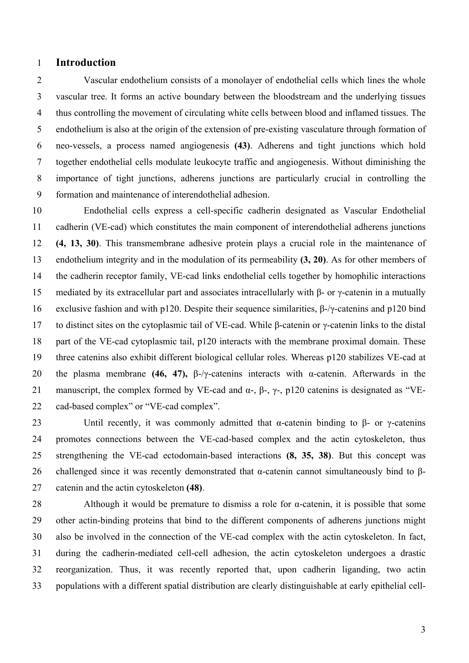### 1 **Introduction**

2 3 4 5 6 7 8 9 Vascular endothelium consists of a monolayer of endothelial cells which lines the whole vascular tree. It forms an active boundary between the bloodstream and the underlying tissues thus controlling the movement of circulating white cells between blood and inflamed tissues. The endothelium is also at the origin of the extension of pre-existing vasculature through formation of neo-vessels, a process named angiogenesis **(43)**. Adherens and tight junctions which hold together endothelial cells modulate leukocyte traffic and angiogenesis. Without diminishing the importance of tight junctions, adherens junctions are particularly crucial in controlling the formation and maintenance of interendothelial adhesion.

10 11 12 13 14 15 16 17 18 19 20 21 22 Endothelial cells express a cell-specific cadherin designated as Vascular Endothelial cadherin (VE-cad) which constitutes the main component of interendothelial adherens junctions **(4, 13, 30)**. This transmembrane adhesive protein plays a crucial role in the maintenance of endothelium integrity and in the modulation of its permeability **(3, 20)**. As for other members of the cadherin receptor family, VE-cad links endothelial cells together by homophilic interactions mediated by its extracellular part and associates intracellularly with β- or γ-catenin in a mutually exclusive fashion and with p120. Despite their sequence similarities, β-/γ-catenins and p120 bind to distinct sites on the cytoplasmic tail of VE-cad. While β-catenin or γ-catenin links to the distal part of the VE-cad cytoplasmic tail, p120 interacts with the membrane proximal domain. These three catenins also exhibit different biological cellular roles. Whereas p120 stabilizes VE-cad at the plasma membrane **(46, 47),** β-/γ-catenins interacts with α-catenin. Afterwards in the manuscript, the complex formed by VE-cad and  $\alpha$ -,  $\beta$ -,  $\gamma$ -, p120 catenins is designated as "VEcad-based complex" or "VE-cad complex".

23 24 25 26 27 Until recently, it was commonly admitted that  $\alpha$ -catenin binding to  $\beta$ - or  $\gamma$ -catenins promotes connections between the VE-cad-based complex and the actin cytoskeleton, thus strengthening the VE-cad ectodomain-based interactions **(8, 35, 38)**. But this concept was challenged since it was recently demonstrated that α-catenin cannot simultaneously bind to βcatenin and the actin cytoskeleton **(48)**.

28 29 30 31 32 33 Although it would be premature to dismiss a role for  $\alpha$ -catenin, it is possible that some other actin-binding proteins that bind to the different components of adherens junctions might also be involved in the connection of the VE-cad complex with the actin cytoskeleton. In fact, during the cadherin-mediated cell-cell adhesion, the actin cytoskeleton undergoes a drastic reorganization. Thus, it was recently reported that, upon cadherin liganding, two actin populations with a different spatial distribution are clearly distinguishable at early epithelial cell-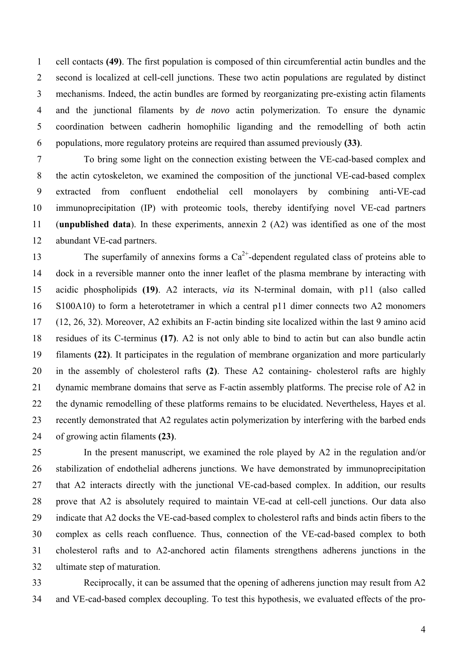cell contacts **(49)**. The first population is composed of thin circumferential actin bundles and the second is localized at cell-cell junctions. These two actin populations are regulated by distinct mechanisms. Indeed, the actin bundles are formed by reorganizating pre-existing actin filaments and the junctional filaments by *de novo* actin polymerization. To ensure the dynamic coordination between cadherin homophilic liganding and the remodelling of both actin populations, more regulatory proteins are required than assumed previously **(33)**. 1 2 3 4 5 6

7 8 9 10 11 12 To bring some light on the connection existing between the VE-cad-based complex and the actin cytoskeleton, we examined the composition of the junctional VE-cad-based complex extracted from confluent endothelial cell monolayers by combining anti-VE-cad immunoprecipitation (IP) with proteomic tools, thereby identifying novel VE-cad partners (**unpublished data**). In these experiments, annexin 2 (A2) was identified as one of the most abundant VE-cad partners.

13 14 15 16 17 18 19 20 21 22 23 24 The superfamily of annexins forms a  $Ca^{2+}$ -dependent regulated class of proteins able to dock in a reversible manner onto the inner leaflet of the plasma membrane by interacting with acidic phospholipids **(19)**. A2 interacts, *via* its N-terminal domain, with p11 (also called S100A10) to form a heterotetramer in which a central p11 dimer connects two A2 monomers (12, 26, 32). Moreover, A2 exhibits an F-actin binding site localized within the last 9 amino acid residues of its C-terminus **(17)**. A2 is not only able to bind to actin but can also bundle actin filaments **(22)**. It participates in the regulation of membrane organization and more particularly in the assembly of cholesterol rafts **(2)**. These A2 containing- cholesterol rafts are highly dynamic membrane domains that serve as F-actin assembly platforms. The precise role of A2 in the dynamic remodelling of these platforms remains to be elucidated. Nevertheless, Hayes et al. recently demonstrated that A2 regulates actin polymerization by interfering with the barbed ends of growing actin filaments **(23)**.

25 26 27 28 29 30 31 32 In the present manuscript, we examined the role played by A2 in the regulation and/or stabilization of endothelial adherens junctions. We have demonstrated by immunoprecipitation that A2 interacts directly with the junctional VE-cad-based complex. In addition, our results prove that A2 is absolutely required to maintain VE-cad at cell-cell junctions. Our data also indicate that A2 docks the VE-cad-based complex to cholesterol rafts and binds actin fibers to the complex as cells reach confluence. Thus, connection of the VE-cad-based complex to both cholesterol rafts and to A2-anchored actin filaments strengthens adherens junctions in the ultimate step of maturation.

33 34 Reciprocally, it can be assumed that the opening of adherens junction may result from A2 and VE-cad-based complex decoupling. To test this hypothesis, we evaluated effects of the pro-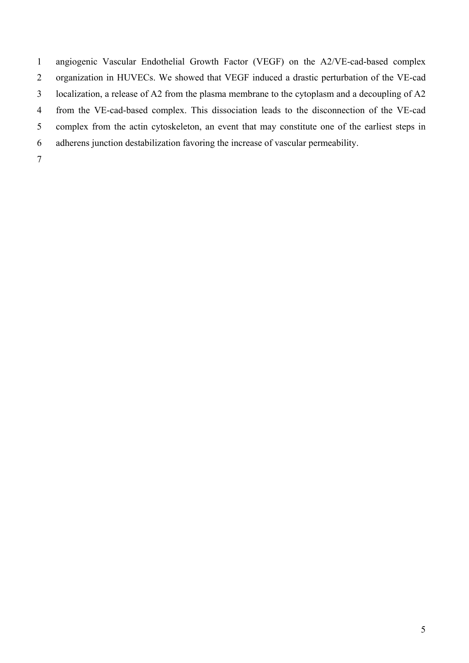1 2 3 4 5 6 7 angiogenic Vascular Endothelial Growth Factor (VEGF) on the A2/VE-cad-based complex organization in HUVECs. We showed that VEGF induced a drastic perturbation of the VE-cad localization, a release of A2 from the plasma membrane to the cytoplasm and a decoupling of A2 from the VE-cad-based complex. This dissociation leads to the disconnection of the VE-cad complex from the actin cytoskeleton, an event that may constitute one of the earliest steps in adherens junction destabilization favoring the increase of vascular permeability.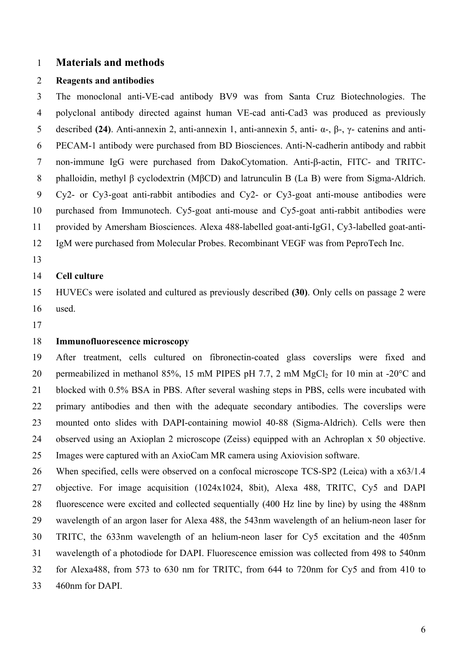### 1 **Materials and methods**

#### 2 **Reagents and antibodies**

3 4 5 6 7 8 9 10 11 12 The monoclonal anti-VE-cad antibody BV9 was from Santa Cruz Biotechnologies. The polyclonal antibody directed against human VE-cad anti-Cad3 was produced as previously described **(24)**. Anti-annexin 2, anti-annexin 1, anti-annexin 5, anti- α-, β-, γ- catenins and anti-PECAM-1 antibody were purchased from BD Biosciences. Anti-N-cadherin antibody and rabbit non-immune IgG were purchased from DakoCytomation. Anti-β-actin, FITC- and TRITCphalloidin, methyl β cyclodextrin (MβCD) and latrunculin B (La B) were from Sigma-Aldrich. Cy2- or Cy3-goat anti-rabbit antibodies and Cy2- or Cy3-goat anti-mouse antibodies were purchased from Immunotech. Cy5-goat anti-mouse and Cy5-goat anti-rabbit antibodies were provided by Amersham Biosciences. Alexa 488-labelled goat-anti-IgG1, Cy3-labelled goat-anti-IgM were purchased from Molecular Probes. Recombinant VEGF was from PeproTech Inc.

13

#### 14 **Cell culture**

15 16 HUVECs were isolated and cultured as previously described **(30)**. Only cells on passage 2 were used.

17

### 18 **Immunofluorescence microscopy**

19 20 21 22 23 24 25 After treatment, cells cultured on fibronectin-coated glass coverslips were fixed and permeabilized in methanol 85%, 15 mM PIPES pH 7.7, 2 mM  $MgCl<sub>2</sub>$  for 10 min at -20 $^{\circ}$ C and blocked with 0.5% BSA in PBS. After several washing steps in PBS, cells were incubated with primary antibodies and then with the adequate secondary antibodies. The coverslips were mounted onto slides with DAPI-containing mowiol 40-88 (Sigma-Aldrich). Cells were then observed using an Axioplan 2 microscope (Zeiss) equipped with an Achroplan x 50 objective. Images were captured with an AxioCam MR camera using Axiovision software.

26 27 28 29 30 31 32 33 When specified, cells were observed on a confocal microscope TCS-SP2 (Leica) with a  $x63/1.4$ objective. For image acquisition (1024x1024, 8bit), Alexa 488, TRITC, Cy5 and DAPI fluorescence were excited and collected sequentially (400 Hz line by line) by using the 488nm wavelength of an argon laser for Alexa 488, the 543nm wavelength of an helium-neon laser for TRITC, the 633nm wavelength of an helium-neon laser for Cy5 excitation and the 405nm wavelength of a photodiode for DAPI. Fluorescence emission was collected from 498 to 540nm for Alexa488, from 573 to 630 nm for TRITC, from 644 to 720nm for Cy5 and from 410 to 460nm for DAPI.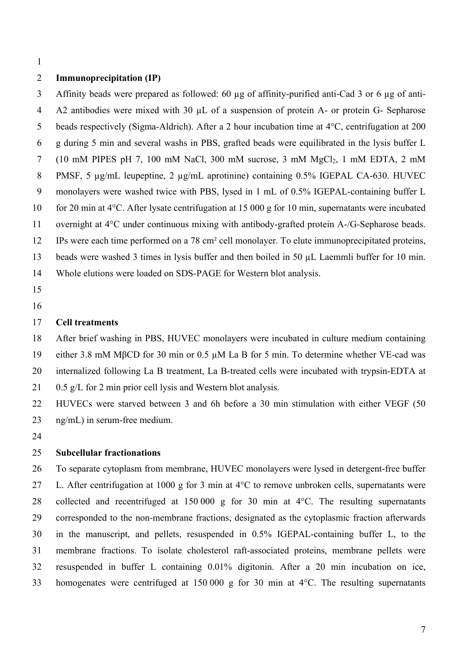1

### 2 **Immunoprecipitation (IP)**

3 4 5 6 7 8 9 10 11 12 13 14 Affinity beads were prepared as followed: 60 µg of affinity-purified anti-Cad 3 or 6 µg of anti-A2 antibodies were mixed with 30  $\mu$ L of a suspension of protein A- or protein G- Sepharose beads respectively (Sigma-Aldrich). After a 2 hour incubation time at 4°C, centrifugation at 200 g during 5 min and several washs in PBS, grafted beads were equilibrated in the lysis buffer L (10 mM PIPES pH 7, 100 mM NaCl, 300 mM sucrose, 3 mM  $MgCl<sub>2</sub>$ , 1 mM EDTA, 2 mM PMSF, 5  $\mu$ g/mL leupeptine, 2  $\mu$ g/mL aprotinine) containing 0.5% IGEPAL CA-630. HUVEC monolayers were washed twice with PBS, lysed in 1 mL of 0.5% IGEPAL-containing buffer L for 20 min at 4°C. After lysate centrifugation at 15 000 g for 10 min, supernatants were incubated overnight at 4°C under continuous mixing with antibody-grafted protein A-/G-Sepharose beads. IPs were each time performed on a 78 cm² cell monolayer. To elute immunoprecipitated proteins, beads were washed 3 times in lysis buffer and then boiled in 50 µL Laemmli buffer for 10 min. Whole elutions were loaded on SDS-PAGE for Western blot analysis.

- 15
- 16

#### 17 **Cell treatments**

18 After brief washing in PBS, HUVEC monolayers were incubated in culture medium containing

19 either 3.8 mM MβCD for 30 min or 0.5 µM La B for 5 min. To determine whether VE-cad was

20 internalized following La B treatment, La B-treated cells were incubated with trypsin-EDTA at

21 0.5 g/L for 2 min prior cell lysis and Western blot analysis.

22 23 HUVECs were starved between 3 and 6h before a 30 min stimulation with either VEGF (50 ng/mL) in serum-free medium.

24

### 25 **Subcellular fractionations**

26 27 28 29 30 31 32 33 To separate cytoplasm from membrane, HUVEC monolayers were lysed in detergent-free buffer L. After centrifugation at 1000 g for 3 min at 4°C to remove unbroken cells, supernatants were collected and recentrifuged at 150 000 g for 30 min at 4°C. The resulting supernatants corresponded to the non-membrane fractions, designated as the cytoplasmic fraction afterwards in the manuscript, and pellets, resuspended in 0.5% IGEPAL-containing buffer L, to the membrane fractions. To isolate cholesterol raft-associated proteins, membrane pellets were resuspended in buffer L containing 0.01% digitonin. After a 20 min incubation on ice, homogenates were centrifuged at 150 000 g for 30 min at 4<sup>o</sup>C. The resulting supernatants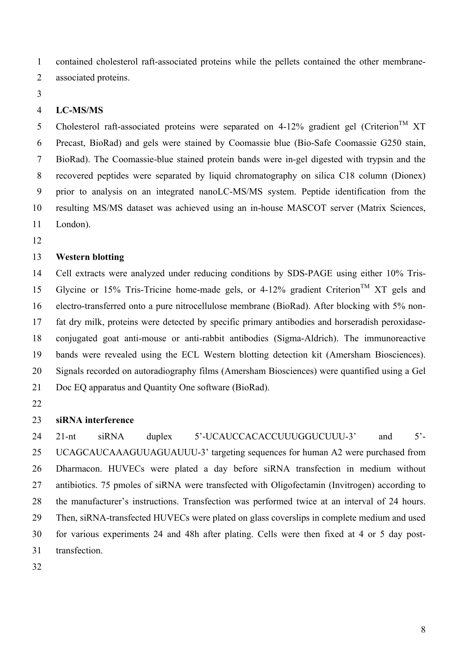1 contained cholesterol raft-associated proteins while the pellets contained the other membrane-

2 associated proteins.

3

#### 4 **LC-MS/MS**

5 6 7 8 9 10 11 Cholesterol raft-associated proteins were separated on 4-12% gradient gel (Criterion<sup>TM</sup> XT Precast, BioRad) and gels were stained by Coomassie blue (Bio-Safe Coomassie G250 stain, BioRad). The Coomassie-blue stained protein bands were in-gel digested with trypsin and the recovered peptides were separated by liquid chromatography on silica C18 column (Dionex) prior to analysis on an integrated nanoLC-MS/MS system. Peptide identification from the resulting MS/MS dataset was achieved using an in-house MASCOT server (Matrix Sciences, London).

12

### 13 **Western blotting**

14 15 16 17 18 19 20 21 Cell extracts were analyzed under reducing conditions by SDS-PAGE using either 10% Tris-Glycine or 15% Tris-Tricine home-made gels, or 4-12% gradient Criterion<sup>TM</sup> XT gels and electro-transferred onto a pure nitrocellulose membrane (BioRad). After blocking with 5% nonfat dry milk, proteins were detected by specific primary antibodies and horseradish peroxidaseconjugated goat anti-mouse or anti-rabbit antibodies (Sigma-Aldrich). The immunoreactive bands were revealed using the ECL Western blotting detection kit (Amersham Biosciences). Signals recorded on autoradiography films (Amersham Biosciences) were quantified using a Gel Doc EQ apparatus and Quantity One software (BioRad).

22

### 23 **siRNA interference**

24 25 26 27 28 29 30 31 21-nt siRNA duplex 5'-UCAUCCACACCUUUGGUCUUU-3' and 5'- UCAGCAUCAAAGUUAGUAUUU-3' targeting sequences for human A2 were purchased from Dharmacon. HUVECs were plated a day before siRNA transfection in medium without antibiotics. 75 pmoles of siRNA were transfected with Oligofectamin (Invitrogen) according to the manufacturer's instructions. Transfection was performed twice at an interval of 24 hours. Then, siRNA-transfected HUVECs were plated on glass coverslips in complete medium and used for various experiments 24 and 48h after plating. Cells were then fixed at 4 or 5 day posttransfection.

32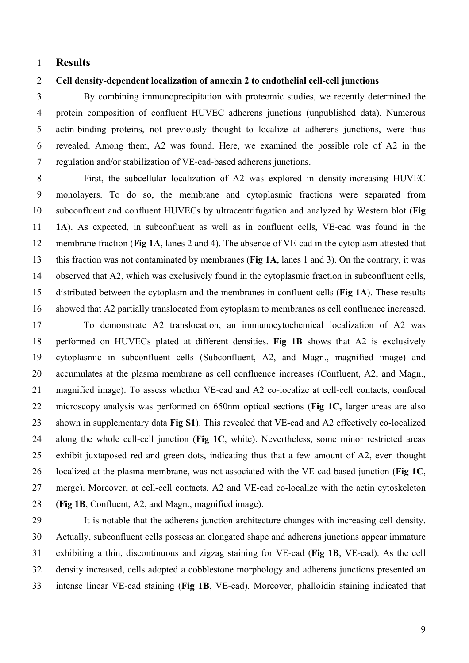## 1 **Results**

### 2 **Cell density-dependent localization of annexin 2 to endothelial cell-cell junctions**

3 4 5 6 7 By combining immunoprecipitation with proteomic studies, we recently determined the protein composition of confluent HUVEC adherens junctions (unpublished data). Numerous actin-binding proteins, not previously thought to localize at adherens junctions, were thus revealed. Among them, A2 was found. Here, we examined the possible role of A2 in the regulation and/or stabilization of VE-cad-based adherens junctions.

8 9 10 11 12 13 14 15 16 First, the subcellular localization of A2 was explored in density-increasing HUVEC monolayers. To do so, the membrane and cytoplasmic fractions were separated from subconfluent and confluent HUVECs by ultracentrifugation and analyzed by Western blot (**Fig 1A**). As expected, in subconfluent as well as in confluent cells, VE-cad was found in the membrane fraction (**Fig 1A**, lanes 2 and 4). The absence of VE-cad in the cytoplasm attested that this fraction was not contaminated by membranes (**Fig 1A**, lanes 1 and 3). On the contrary, it was observed that A2, which was exclusively found in the cytoplasmic fraction in subconfluent cells, distributed between the cytoplasm and the membranes in confluent cells (**Fig 1A**). These results showed that A2 partially translocated from cytoplasm to membranes as cell confluence increased.

17 18 19 20 21 22 23 24 25 26 27 28 To demonstrate A2 translocation, an immunocytochemical localization of A2 was performed on HUVECs plated at different densities. **Fig 1B** shows that A2 is exclusively cytoplasmic in subconfluent cells (Subconfluent, A2, and Magn., magnified image) and accumulates at the plasma membrane as cell confluence increases (Confluent, A2, and Magn., magnified image). To assess whether VE-cad and A2 co-localize at cell-cell contacts, confocal microscopy analysis was performed on 650nm optical sections (**Fig 1C,** larger areas are also shown in supplementary data **Fig S1**). This revealed that VE-cad and A2 effectively co-localized along the whole cell-cell junction (**Fig 1C**, white). Nevertheless, some minor restricted areas exhibit juxtaposed red and green dots, indicating thus that a few amount of A2, even thought localized at the plasma membrane, was not associated with the VE-cad-based junction (**Fig 1C**, merge). Moreover, at cell-cell contacts, A2 and VE-cad co-localize with the actin cytoskeleton (**Fig 1B**, Confluent, A2, and Magn., magnified image).

29 30 31 32 33 It is notable that the adherens junction architecture changes with increasing cell density. Actually, subconfluent cells possess an elongated shape and adherens junctions appear immature exhibiting a thin, discontinuous and zigzag staining for VE-cad (**Fig 1B**, VE-cad). As the cell density increased, cells adopted a cobblestone morphology and adherens junctions presented an intense linear VE-cad staining (**Fig 1B**, VE-cad). Moreover, phalloidin staining indicated that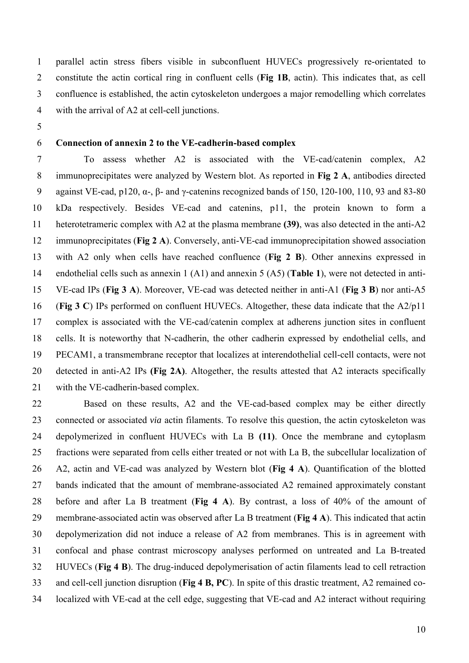1 2 3 4 parallel actin stress fibers visible in subconfluent HUVECs progressively re-orientated to constitute the actin cortical ring in confluent cells (**Fig 1B**, actin). This indicates that, as cell confluence is established, the actin cytoskeleton undergoes a major remodelling which correlates with the arrival of A2 at cell-cell junctions.

5

### 6 **Connection of annexin 2 to the VE-cadherin-based complex**

7 8 9 10 11 12 13 14 15 16 17 18 19 20 21 To assess whether A2 is associated with the VE-cad/catenin complex, A2 immunoprecipitates were analyzed by Western blot. As reported in **Fig 2 A**, antibodies directed against VE-cad, p120,  $\alpha$ -,  $\beta$ - and γ-catenins recognized bands of 150, 120-100, 110, 93 and 83-80 kDa respectively. Besides VE-cad and catenins, p11, the protein known to form a heterotetrameric complex with A2 at the plasma membrane **(39)**, was also detected in the anti-A2 immunoprecipitates (**Fig 2 A**). Conversely, anti-VE-cad immunoprecipitation showed association with A2 only when cells have reached confluence (**Fig 2 B**). Other annexins expressed in endothelial cells such as annexin 1 (A1) and annexin 5 (A5) (**Table 1**), were not detected in anti-VE-cad IPs (**Fig 3 A**). Moreover, VE-cad was detected neither in anti-A1 (**Fig 3 B**) nor anti-A5 (**Fig 3 C**) IPs performed on confluent HUVECs. Altogether, these data indicate that the A2/p11 complex is associated with the VE-cad/catenin complex at adherens junction sites in confluent cells. It is noteworthy that N-cadherin, the other cadherin expressed by endothelial cells, and PECAM1, a transmembrane receptor that localizes at interendothelial cell-cell contacts, were not detected in anti-A2 IPs **(Fig 2A)**. Altogether, the results attested that A2 interacts specifically with the VE-cadherin-based complex.

22 23 24 25 26 27 28 29 30 31 32 33 34 Based on these results, A2 and the VE-cad-based complex may be either directly connected or associated *via* actin filaments. To resolve this question, the actin cytoskeleton was depolymerized in confluent HUVECs with La B **(11)**. Once the membrane and cytoplasm fractions were separated from cells either treated or not with La B, the subcellular localization of A2, actin and VE-cad was analyzed by Western blot (**Fig 4 A**). Quantification of the blotted bands indicated that the amount of membrane-associated A2 remained approximately constant before and after La B treatment (**Fig 4 A**). By contrast, a loss of 40% of the amount of membrane-associated actin was observed after La B treatment (**Fig 4 A**). This indicated that actin depolymerization did not induce a release of A2 from membranes. This is in agreement with confocal and phase contrast microscopy analyses performed on untreated and La B-treated HUVECs (**Fig 4 B**). The drug-induced depolymerisation of actin filaments lead to cell retraction and cell-cell junction disruption (**Fig 4 B, PC**). In spite of this drastic treatment, A2 remained colocalized with VE-cad at the cell edge, suggesting that VE-cad and A2 interact without requiring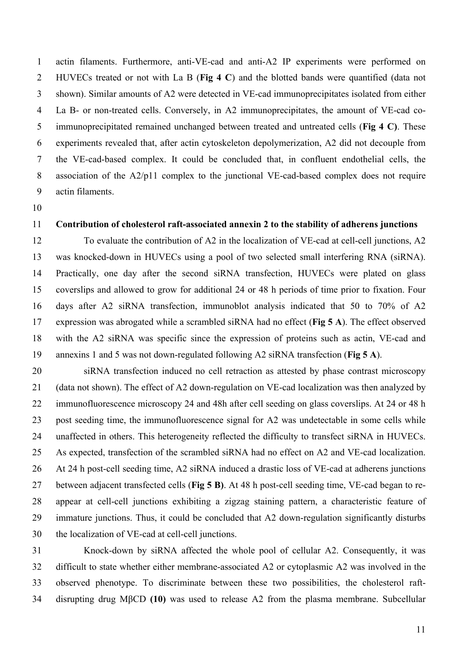1 2 3 4 5 6 7 8 9 actin filaments. Furthermore, anti-VE-cad and anti-A2 IP experiments were performed on HUVECs treated or not with La B (**Fig 4 C**) and the blotted bands were quantified (data not shown). Similar amounts of A2 were detected in VE-cad immunoprecipitates isolated from either La B- or non-treated cells. Conversely, in A2 immunoprecipitates, the amount of VE-cad coimmunoprecipitated remained unchanged between treated and untreated cells (**Fig 4 C)**. These experiments revealed that, after actin cytoskeleton depolymerization, A2 did not decouple from the VE-cad-based complex. It could be concluded that, in confluent endothelial cells, the association of the A2/p11 complex to the junctional VE-cad-based complex does not require actin filaments.

10

### 11

### **Contribution of cholesterol raft-associated annexin 2 to the stability of adherens junctions**

12 13 14 15 16 17 18 19 To evaluate the contribution of A2 in the localization of VE-cad at cell-cell junctions, A2 was knocked-down in HUVECs using a pool of two selected small interfering RNA (siRNA). Practically, one day after the second siRNA transfection, HUVECs were plated on glass coverslips and allowed to grow for additional 24 or 48 h periods of time prior to fixation. Four days after A2 siRNA transfection, immunoblot analysis indicated that 50 to 70% of A2 expression was abrogated while a scrambled siRNA had no effect (**Fig 5 A**). The effect observed with the A2 siRNA was specific since the expression of proteins such as actin, VE-cad and annexins 1 and 5 was not down-regulated following A2 siRNA transfection (**Fig 5 A**).

20 21 22 23 24 25 26 27 28 29 30 siRNA transfection induced no cell retraction as attested by phase contrast microscopy (data not shown). The effect of A2 down-regulation on VE-cad localization was then analyzed by immunofluorescence microscopy 24 and 48h after cell seeding on glass coverslips. At 24 or 48 h post seeding time, the immunofluorescence signal for A2 was undetectable in some cells while unaffected in others. This heterogeneity reflected the difficulty to transfect siRNA in HUVECs. As expected, transfection of the scrambled siRNA had no effect on A2 and VE-cad localization. At 24 h post-cell seeding time, A2 siRNA induced a drastic loss of VE-cad at adherens junctions between adjacent transfected cells (**Fig 5 B)**. At 48 h post-cell seeding time, VE-cad began to reappear at cell-cell junctions exhibiting a zigzag staining pattern, a characteristic feature of immature junctions. Thus, it could be concluded that A2 down-regulation significantly disturbs the localization of VE-cad at cell-cell junctions.

31 32 33 34 Knock-down by siRNA affected the whole pool of cellular A2. Consequently, it was difficult to state whether either membrane-associated A2 or cytoplasmic A2 was involved in the observed phenotype. To discriminate between these two possibilities, the cholesterol raftdisrupting drug MβCD **(10)** was used to release A2 from the plasma membrane. Subcellular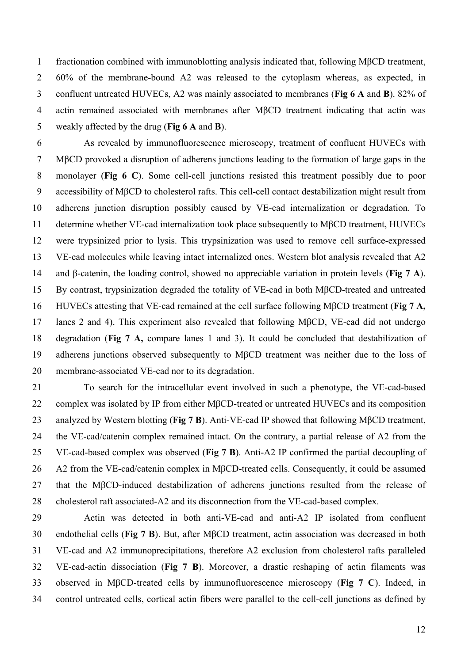1 2 3 4 5 fractionation combined with immunoblotting analysis indicated that, following MβCD treatment, 60% of the membrane-bound A2 was released to the cytoplasm whereas, as expected, in confluent untreated HUVECs, A2 was mainly associated to membranes (**Fig 6 A** and **B**). 82% of actin remained associated with membranes after MβCD treatment indicating that actin was weakly affected by the drug (**Fig 6 A** and **B**).

6 7 8 9 10 11 12 13 14 15 16 17 18 19 20 As revealed by immunofluorescence microscopy, treatment of confluent HUVECs with MβCD provoked a disruption of adherens junctions leading to the formation of large gaps in the monolayer (**Fig 6 C**). Some cell-cell junctions resisted this treatment possibly due to poor accessibility of MβCD to cholesterol rafts. This cell-cell contact destabilization might result from adherens junction disruption possibly caused by VE-cad internalization or degradation. To determine whether VE-cad internalization took place subsequently to MβCD treatment, HUVECs were trypsinized prior to lysis. This trypsinization was used to remove cell surface-expressed VE-cad molecules while leaving intact internalized ones. Western blot analysis revealed that A2 and β-catenin, the loading control, showed no appreciable variation in protein levels (**Fig 7 A**). By contrast, trypsinization degraded the totality of VE-cad in both MβCD-treated and untreated HUVECs attesting that VE-cad remained at the cell surface following MβCD treatment (**Fig 7 A,**  lanes 2 and 4). This experiment also revealed that following MβCD, VE-cad did not undergo degradation (**Fig 7 A,** compare lanes 1 and 3). It could be concluded that destabilization of adherens junctions observed subsequently to MβCD treatment was neither due to the loss of membrane-associated VE-cad nor to its degradation.

21 22 23 24 25 26 27 28 To search for the intracellular event involved in such a phenotype, the VE-cad-based complex was isolated by IP from either MβCD-treated or untreated HUVECs and its composition analyzed by Western blotting (**Fig 7 B**). Anti-VE-cad IP showed that following MβCD treatment, the VE-cad/catenin complex remained intact. On the contrary, a partial release of A2 from the VE-cad-based complex was observed (**Fig 7 B**). Anti-A2 IP confirmed the partial decoupling of A2 from the VE-cad/catenin complex in MβCD-treated cells. Consequently, it could be assumed that the MβCD-induced destabilization of adherens junctions resulted from the release of cholesterol raft associated-A2 and its disconnection from the VE-cad-based complex.

29 30 31 32 33 34 Actin was detected in both anti-VE-cad and anti-A2 IP isolated from confluent endothelial cells (**Fig 7 B**). But, after MβCD treatment, actin association was decreased in both VE-cad and A2 immunoprecipitations, therefore A2 exclusion from cholesterol rafts paralleled VE-cad-actin dissociation (**Fig 7 B**). Moreover, a drastic reshaping of actin filaments was observed in MβCD-treated cells by immunofluorescence microscopy (**Fig 7 C**). Indeed, in control untreated cells, cortical actin fibers were parallel to the cell-cell junctions as defined by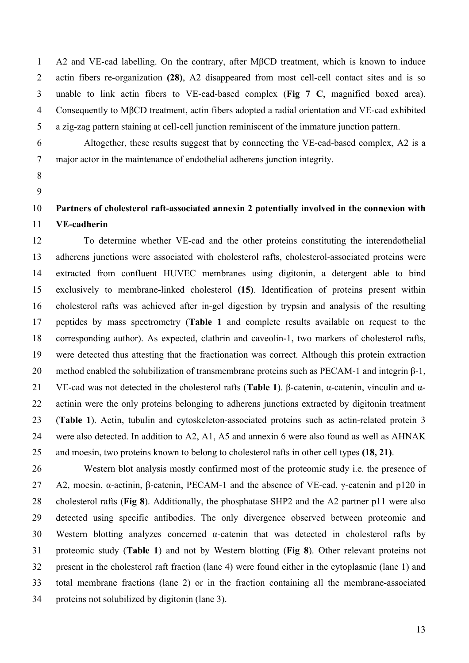1 2 3 4 5 A2 and VE-cad labelling. On the contrary, after MβCD treatment, which is known to induce actin fibers re-organization **(28)**, A2 disappeared from most cell-cell contact sites and is so unable to link actin fibers to VE-cad-based complex (**Fig 7 C**, magnified boxed area). Consequently to MβCD treatment, actin fibers adopted a radial orientation and VE-cad exhibited a zig-zag pattern staining at cell-cell junction reminiscent of the immature junction pattern.

6

7

Altogether, these results suggest that by connecting the VE-cad-based complex, A2 is a major actor in the maintenance of endothelial adherens junction integrity.

- 8
- 9

### 10 11 **Partners of cholesterol raft-associated annexin 2 potentially involved in the connexion with VE-cadherin**

12 13 14 15 16 17 18 19 20 21 22 23 24 25 To determine whether VE-cad and the other proteins constituting the interendothelial adherens junctions were associated with cholesterol rafts, cholesterol-associated proteins were extracted from confluent HUVEC membranes using digitonin, a detergent able to bind exclusively to membrane-linked cholesterol **(15)**. Identification of proteins present within cholesterol rafts was achieved after in-gel digestion by trypsin and analysis of the resulting peptides by mass spectrometry (**Table 1** and complete results available on request to the corresponding author). As expected, clathrin and caveolin-1, two markers of cholesterol rafts, were detected thus attesting that the fractionation was correct. Although this protein extraction method enabled the solubilization of transmembrane proteins such as PECAM-1 and integrin β-1, VE-cad was not detected in the cholesterol rafts (**Table 1**). β-catenin, α-catenin, vinculin and αactinin were the only proteins belonging to adherens junctions extracted by digitonin treatment (**Table 1**). Actin, tubulin and cytoskeleton-associated proteins such as actin-related protein 3 were also detected. In addition to A2, A1, A5 and annexin 6 were also found as well as AHNAK and moesin, two proteins known to belong to cholesterol rafts in other cell types **(18, 21)**.

26 27 28 29 30 31 32 33 34 Western blot analysis mostly confirmed most of the proteomic study i.e. the presence of A2, moesin, α-actinin, β-catenin, PECAM-1 and the absence of VE-cad, γ-catenin and p120 in cholesterol rafts (**Fig 8**). Additionally, the phosphatase SHP2 and the A2 partner p11 were also detected using specific antibodies. The only divergence observed between proteomic and Western blotting analyzes concerned  $\alpha$ -catenin that was detected in cholesterol rafts by proteomic study (**Table 1**) and not by Western blotting (**Fig 8**). Other relevant proteins not present in the cholesterol raft fraction (lane 4) were found either in the cytoplasmic (lane 1) and total membrane fractions (lane 2) or in the fraction containing all the membrane-associated proteins not solubilized by digitonin (lane 3).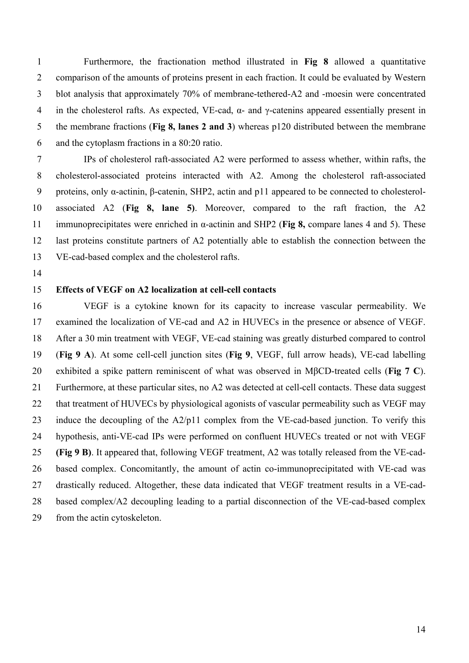Furthermore, the fractionation method illustrated in **Fig 8** allowed a quantitative comparison of the amounts of proteins present in each fraction. It could be evaluated by Western blot analysis that approximately 70% of membrane-tethered-A2 and -moesin were concentrated in the cholesterol rafts. As expected, VE-cad,  $\alpha$ - and  $\gamma$ -catenins appeared essentially present in the membrane fractions (**Fig 8, lanes 2 and 3**) whereas p120 distributed between the membrane and the cytoplasm fractions in a 80:20 ratio. 1 2 3 4 5 6

7 8 9 10 11 12 13 IPs of cholesterol raft-associated A2 were performed to assess whether, within rafts, the cholesterol-associated proteins interacted with A2. Among the cholesterol raft-associated proteins, only α-actinin, β-catenin, SHP2, actin and p11 appeared to be connected to cholesterolassociated A2 (**Fig 8, lane 5)**. Moreover, compared to the raft fraction, the A2 immunoprecipitates were enriched in α-actinin and SHP2 (**Fig 8,** compare lanes 4 and 5). These last proteins constitute partners of A2 potentially able to establish the connection between the VE-cad-based complex and the cholesterol rafts.

14

#### 15 **Effects of VEGF on A2 localization at cell-cell contacts**

16 17 18 19 20 21 22 23 24 25 26 27 28 29 VEGF is a cytokine known for its capacity to increase vascular permeability. We examined the localization of VE-cad and A2 in HUVECs in the presence or absence of VEGF. After a 30 min treatment with VEGF, VE-cad staining was greatly disturbed compared to control (**Fig 9 A**). At some cell-cell junction sites (**Fig 9**, VEGF, full arrow heads), VE-cad labelling exhibited a spike pattern reminiscent of what was observed in MβCD-treated cells (**Fig 7 C**). Furthermore, at these particular sites, no A2 was detected at cell-cell contacts. These data suggest that treatment of HUVECs by physiological agonists of vascular permeability such as VEGF may induce the decoupling of the A2/p11 complex from the VE-cad-based junction. To verify this hypothesis, anti-VE-cad IPs were performed on confluent HUVECs treated or not with VEGF **(Fig 9 B)**. It appeared that, following VEGF treatment, A2 was totally released from the VE-cadbased complex. Concomitantly, the amount of actin co-immunoprecipitated with VE-cad was drastically reduced. Altogether, these data indicated that VEGF treatment results in a VE-cadbased complex/A2 decoupling leading to a partial disconnection of the VE-cad-based complex from the actin cytoskeleton.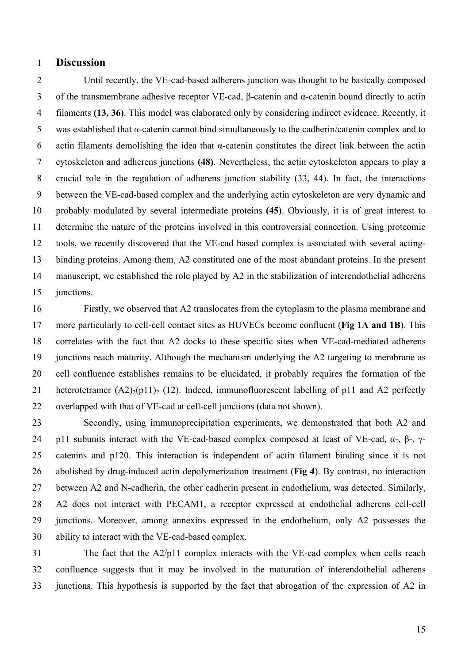### 1 **Discussion**

2 3 4 5 6 7 8 9 10 11 12 13 14 15 Until recently, the VE-cad-based adherens junction was thought to be basically composed of the transmembrane adhesive receptor VE-cad, β-catenin and α-catenin bound directly to actin filaments **(13, 36)**. This model was elaborated only by considering indirect evidence. Recently, it was established that α-catenin cannot bind simultaneously to the cadherin/catenin complex and to actin filaments demolishing the idea that  $\alpha$ -catenin constitutes the direct link between the actin cytoskeleton and adherens junctions **(48)**. Nevertheless, the actin cytoskeleton appears to play a crucial role in the regulation of adherens junction stability (33, 44). In fact, the interactions between the VE-cad-based complex and the underlying actin cytoskeleton are very dynamic and probably modulated by several intermediate proteins **(45)**. Obviously, it is of great interest to determine the nature of the proteins involved in this controversial connection. Using proteomic tools, we recently discovered that the VE-cad based complex is associated with several actingbinding proteins. Among them, A2 constituted one of the most abundant proteins. In the present manuscript, we established the role played by A2 in the stabilization of interendothelial adherens junctions.

16 17 18 19 20 21 22 Firstly, we observed that A2 translocates from the cytoplasm to the plasma membrane and more particularly to cell-cell contact sites as HUVECs become confluent (**Fig 1A and 1B**). This correlates with the fact that A2 docks to these specific sites when VE-cad-mediated adherens junctions reach maturity. Although the mechanism underlying the A2 targeting to membrane as cell confluence establishes remains to be elucidated, it probably requires the formation of the heterotetramer  $(A2)_{2}(p11)_{2}$  (12). Indeed, immunofluorescent labelling of p11 and A2 perfectly overlapped with that of VE-cad at cell-cell junctions (data not shown).

23 24 25 26 27 28 29 30 Secondly, using immunoprecipitation experiments, we demonstrated that both A2 and p11 subunits interact with the VE-cad-based complex composed at least of VE-cad,  $\alpha$ -,  $\beta$ -,  $\gamma$ catenins and p120. This interaction is independent of actin filament binding since it is not abolished by drug-induced actin depolymerization treatment (**Fig 4**). By contrast, no interaction between A2 and N-cadherin, the other cadherin present in endothelium, was detected. Similarly, A2 does not interact with PECAM1, a receptor expressed at endothelial adherens cell-cell junctions. Moreover, among annexins expressed in the endothelium, only A2 possesses the ability to interact with the VE-cad-based complex.

31 32 33 The fact that the A2/p11 complex interacts with the VE-cad complex when cells reach confluence suggests that it may be involved in the maturation of interendothelial adherens junctions. This hypothesis is supported by the fact that abrogation of the expression of A2 in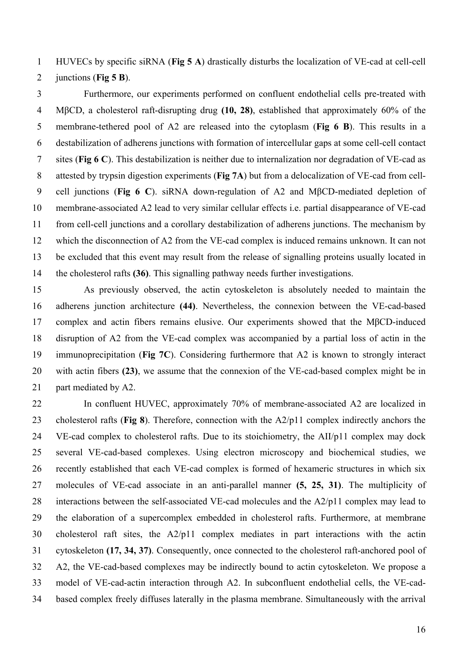HUVECs by specific siRNA (**Fig 5 A**) drastically disturbs the localization of VE-cad at cell-cell 1

junctions (**Fig 5 B**). 2

3 4 5 6 7 8 9 10 11 12 13 14 Furthermore, our experiments performed on confluent endothelial cells pre-treated with MβCD, a cholesterol raft-disrupting drug **(10, 28)**, established that approximately 60% of the membrane-tethered pool of A2 are released into the cytoplasm (**Fig 6 B**). This results in a destabilization of adherens junctions with formation of intercellular gaps at some cell-cell contact sites (**Fig 6 C**). This destabilization is neither due to internalization nor degradation of VE-cad as attested by trypsin digestion experiments (**Fig 7A**) but from a delocalization of VE-cad from cellcell junctions (**Fig 6 C**). siRNA down-regulation of A2 and MβCD-mediated depletion of membrane-associated A2 lead to very similar cellular effects i.e. partial disappearance of VE-cad from cell-cell junctions and a corollary destabilization of adherens junctions. The mechanism by which the disconnection of A2 from the VE-cad complex is induced remains unknown. It can not be excluded that this event may result from the release of signalling proteins usually located in the cholesterol rafts **(36)**. This signalling pathway needs further investigations.

15 16 17 18 19 20 21 As previously observed, the actin cytoskeleton is absolutely needed to maintain the adherens junction architecture **(44)**. Nevertheless, the connexion between the VE-cad-based complex and actin fibers remains elusive. Our experiments showed that the MβCD-induced disruption of A2 from the VE-cad complex was accompanied by a partial loss of actin in the immunoprecipitation (**Fig 7C**). Considering furthermore that A2 is known to strongly interact with actin fibers (23), we assume that the connexion of the VE-cad-based complex might be in part mediated by A2.

22 23 24 25 26 27 28 29 30 31 32 33 34 In confluent HUVEC, approximately 70% of membrane-associated A2 are localized in cholesterol rafts (**Fig 8**). Therefore, connection with the A2/p11 complex indirectly anchors the VE-cad complex to cholesterol rafts. Due to its stoichiometry, the AII/p11 complex may dock several VE-cad-based complexes. Using electron microscopy and biochemical studies, we recently established that each VE-cad complex is formed of hexameric structures in which six molecules of VE-cad associate in an anti-parallel manner **(5, 25, 31)**. The multiplicity of interactions between the self-associated VE-cad molecules and the A2/p11 complex may lead to the elaboration of a supercomplex embedded in cholesterol rafts. Furthermore, at membrane cholesterol raft sites, the A2/p11 complex mediates in part interactions with the actin cytoskeleton **(17, 34, 37)**. Consequently, once connected to the cholesterol raft-anchored pool of A2, the VE-cad-based complexes may be indirectly bound to actin cytoskeleton. We propose a model of VE-cad-actin interaction through A2. In subconfluent endothelial cells, the VE-cadbased complex freely diffuses laterally in the plasma membrane. Simultaneously with the arrival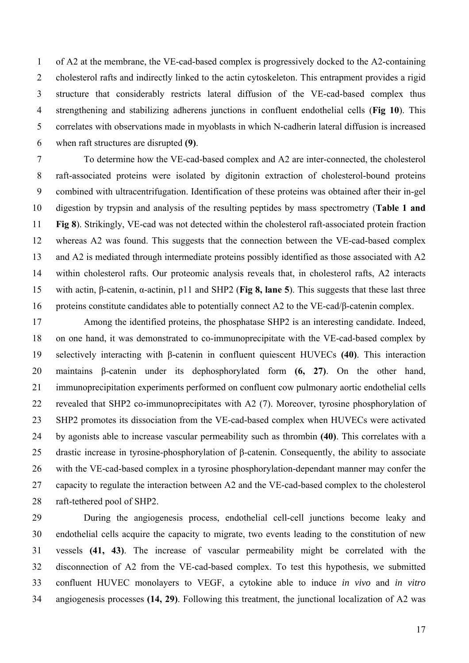1 2 3 4 5 6 of A2 at the membrane, the VE-cad-based complex is progressively docked to the A2-containing cholesterol rafts and indirectly linked to the actin cytoskeleton. This entrapment provides a rigid structure that considerably restricts lateral diffusion of the VE-cad-based complex thus strengthening and stabilizing adherens junctions in confluent endothelial cells (**Fig 10**). This correlates with observations made in myoblasts in which N-cadherin lateral diffusion is increased when raft structures are disrupted **(9)**.

7 8 9 10 11 12 13 14 15 16 To determine how the VE-cad-based complex and A2 are inter-connected, the cholesterol raft-associated proteins were isolated by digitonin extraction of cholesterol-bound proteins combined with ultracentrifugation. Identification of these proteins was obtained after their in-gel digestion by trypsin and analysis of the resulting peptides by mass spectrometry (**Table 1 and Fig 8**). Strikingly, VE-cad was not detected within the cholesterol raft-associated protein fraction whereas A2 was found. This suggests that the connection between the VE-cad-based complex and A2 is mediated through intermediate proteins possibly identified as those associated with A2 within cholesterol rafts. Our proteomic analysis reveals that, in cholesterol rafts, A2 interacts with actin, β-catenin, α-actinin, p11 and SHP2 (**Fig 8, lane 5**). This suggests that these last three proteins constitute candidates able to potentially connect A2 to the VE-cad/β-catenin complex.

17 18 19 20 21 22 23 24 25 26 27 28 Among the identified proteins, the phosphatase SHP2 is an interesting candidate. Indeed, on one hand, it was demonstrated to co-immunoprecipitate with the VE-cad-based complex by selectively interacting with β-catenin in confluent quiescent HUVECs **(40)**. This interaction maintains β-catenin under its dephosphorylated form **(6, 27)**. On the other hand, immunoprecipitation experiments performed on confluent cow pulmonary aortic endothelial cells revealed that SHP2 co-immunoprecipitates with A2 (7). Moreover, tyrosine phosphorylation of SHP2 promotes its dissociation from the VE-cad-based complex when HUVECs were activated by agonists able to increase vascular permeability such as thrombin **(40)**. This correlates with a drastic increase in tyrosine-phosphorylation of β-catenin. Consequently, the ability to associate with the VE-cad-based complex in a tyrosine phosphorylation-dependant manner may confer the capacity to regulate the interaction between A2 and the VE-cad-based complex to the cholesterol raft-tethered pool of SHP2.

29 30 31 32 33 34 During the angiogenesis process, endothelial cell-cell junctions become leaky and endothelial cells acquire the capacity to migrate, two events leading to the constitution of new vessels **(41, 43)**. The increase of vascular permeability might be correlated with the disconnection of A2 from the VE-cad-based complex. To test this hypothesis, we submitted confluent HUVEC monolayers to VEGF, a cytokine able to induce *in vivo* and *in vitro* angiogenesis processes **(14, 29)**. Following this treatment, the junctional localization of A2 was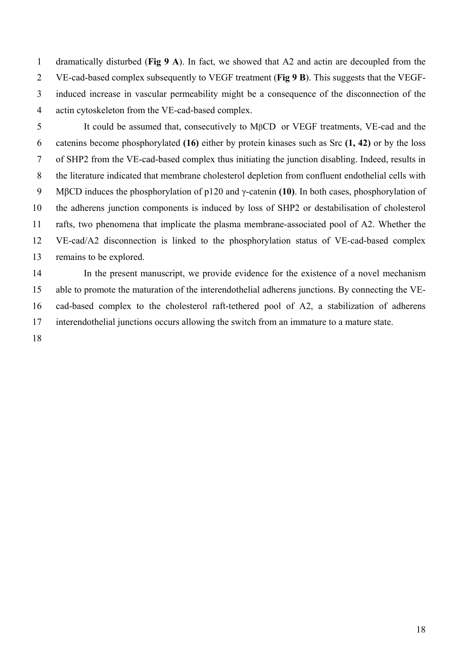dramatically disturbed (**Fig 9 A**). In fact, we showed that A2 and actin are decoupled from the VE-cad-based complex subsequently to VEGF treatment (**Fig 9 B**). This suggests that the VEGFinduced increase in vascular permeability might be a consequence of the disconnection of the actin cytoskeleton from the VE-cad-based complex. 1 2 3 4

5 6 7 8 9 10 11 12 13 It could be assumed that, consecutively to MβCD or VEGF treatments, VE-cad and the catenins become phosphorylated **(16)** either by protein kinases such as Src **(1, 42)** or by the loss of SHP2 from the VE-cad-based complex thus initiating the junction disabling. Indeed, results in the literature indicated that membrane cholesterol depletion from confluent endothelial cells with MβCD induces the phosphorylation of p120 and γ-catenin **(10)**. In both cases, phosphorylation of the adherens junction components is induced by loss of SHP2 or destabilisation of cholesterol rafts, two phenomena that implicate the plasma membrane-associated pool of A2. Whether the VE-cad/A2 disconnection is linked to the phosphorylation status of VE-cad-based complex remains to be explored.

14 15 16 17 In the present manuscript, we provide evidence for the existence of a novel mechanism able to promote the maturation of the interendothelial adherens junctions. By connecting the VEcad-based complex to the cholesterol raft-tethered pool of A2, a stabilization of adherens interendothelial junctions occurs allowing the switch from an immature to a mature state.

18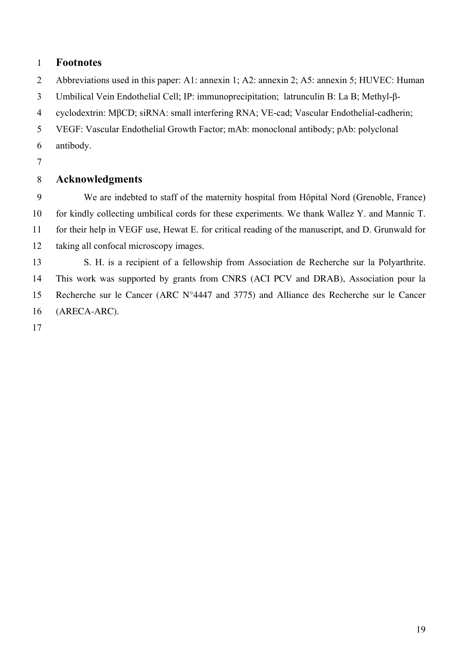# 1 **Footnotes**

2 Abbreviations used in this paper: A1: annexin 1; A2: annexin 2; A5: annexin 5; HUVEC: Human

3 Umbilical Vein Endothelial Cell; IP: immunoprecipitation; latrunculin B: La B; Methyl-β-

4 cyclodextrin: MβCD; siRNA: small interfering RNA; VE-cad; Vascular Endothelial-cadherin;

5 VEGF: Vascular Endothelial Growth Factor; mAb: monoclonal antibody; pAb: polyclonal

- 6 antibody.
- 7

### 8 **Acknowledgments**

9 10 11 12 We are indebted to staff of the maternity hospital from Hôpital Nord (Grenoble, France) for kindly collecting umbilical cords for these experiments. We thank Wallez Y. and Mannic T. for their help in VEGF use, Hewat E. for critical reading of the manuscript, and D. Grunwald for taking all confocal microscopy images.

13 14 15 16 S. H. is a recipient of a fellowship from Association de Recherche sur la Polyarthrite. This work was supported by grants from CNRS (ACI PCV and DRAB), Association pour la Recherche sur le Cancer (ARC N°4447 and 3775) and Alliance des Recherche sur le Cancer (ARECA-ARC).

17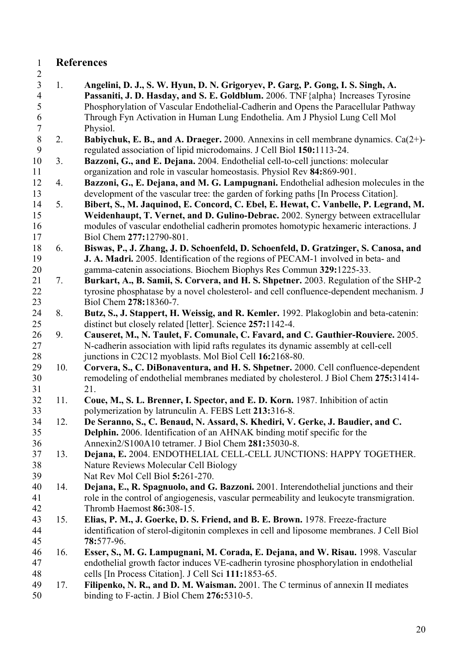# 1 **References**

2

3 4 5 6 7 8 9 10 11 12 13 14 15 16 17 18 19 20 21 22 23 24 25 26 27 28 29 30 31 32 33 34 35 36 37 38 39 40 41 42 43 44 45 46 47 48 49 50 1. **Angelini, D. J., S. W. Hyun, D. N. Grigoryev, P. Garg, P. Gong, I. S. Singh, A. Passaniti, J. D. Hasday, and S. E. Goldblum.** 2006. TNF{alpha} Increases Tyrosine Phosphorylation of Vascular Endothelial-Cadherin and Opens the Paracellular Pathway Through Fyn Activation in Human Lung Endothelia. Am J Physiol Lung Cell Mol Physiol. 2. **Babiychuk, E. B., and A. Draeger.** 2000. Annexins in cell membrane dynamics. Ca(2+) regulated association of lipid microdomains. J Cell Biol **150:**1113-24. 3. **Bazzoni, G., and E. Dejana.** 2004. Endothelial cell-to-cell junctions: molecular organization and role in vascular homeostasis. Physiol Rev **84:**869-901. 4. **Bazzoni, G., E. Dejana, and M. G. Lampugnani.** Endothelial adhesion molecules in the development of the vascular tree: the garden of forking paths [In Process Citation]. 5. **Bibert, S., M. Jaquinod, E. Concord, C. Ebel, E. Hewat, C. Vanbelle, P. Legrand, M. Weidenhaupt, T. Vernet, and D. Gulino-Debrac.** 2002. Synergy between extracellular modules of vascular endothelial cadherin promotes homotypic hexameric interactions. J Biol Chem **277:**12790-801. 6. **Biswas, P., J. Zhang, J. D. Schoenfeld, D. Schoenfeld, D. Gratzinger, S. Canosa, and J. A. Madri.** 2005. Identification of the regions of PECAM-1 involved in beta- and gamma-catenin associations. Biochem Biophys Res Commun **329:**1225-33. 7. **Burkart, A., B. Samii, S. Corvera, and H. S. Shpetner.** 2003. Regulation of the SHP-2 tyrosine phosphatase by a novel cholesterol- and cell confluence-dependent mechanism. J Biol Chem **278:**18360-7. 8. **Butz, S., J. Stappert, H. Weissig, and R. Kemler.** 1992. Plakoglobin and beta-catenin: distinct but closely related [letter]. Science **257:**1142-4. 9. **Causeret, M., N. Taulet, F. Comunale, C. Favard, and C. Gauthier-Rouviere.** 2005. N-cadherin association with lipid rafts regulates its dynamic assembly at cell-cell junctions in C2C12 myoblasts. Mol Biol Cell **16:**2168-80. 10. **Corvera, S., C. DiBonaventura, and H. S. Shpetner.** 2000. Cell confluence-dependent remodeling of endothelial membranes mediated by cholesterol. J Biol Chem **275:**31414- 21. 11. **Coue, M., S. L. Brenner, I. Spector, and E. D. Korn.** 1987. Inhibition of actin polymerization by latrunculin A. FEBS Lett **213:**316-8. 12. **De Seranno, S., C. Benaud, N. Assard, S. Khediri, V. Gerke, J. Baudier, and C. Delphin.** 2006. Identification of an AHNAK binding motif specific for the Annexin2/S100A10 tetramer. J Biol Chem **281:**35030-8. 13. **Dejana, E.** 2004. ENDOTHELIAL CELL-CELL JUNCTIONS: HAPPY TOGETHER. Nature Reviews Molecular Cell Biology Nat Rev Mol Cell Biol **5:**261-270. 14. **Dejana, E., R. Spagnuolo, and G. Bazzoni.** 2001. Interendothelial junctions and their role in the control of angiogenesis, vascular permeability and leukocyte transmigration. Thromb Haemost **86:**308-15. 15. **Elias, P. M., J. Goerke, D. S. Friend, and B. E. Brown.** 1978. Freeze-fracture identification of sterol-digitonin complexes in cell and liposome membranes. J Cell Biol **78:**577-96. 16. **Esser, S., M. G. Lampugnani, M. Corada, E. Dejana, and W. Risau.** 1998. Vascular endothelial growth factor induces VE-cadherin tyrosine phosphorylation in endothelial cells [In Process Citation]. J Cell Sci **111:**1853-65. 17. **Filipenko, N. R., and D. M. Waisman.** 2001. The C terminus of annexin II mediates binding to F-actin. J Biol Chem **276:**5310-5.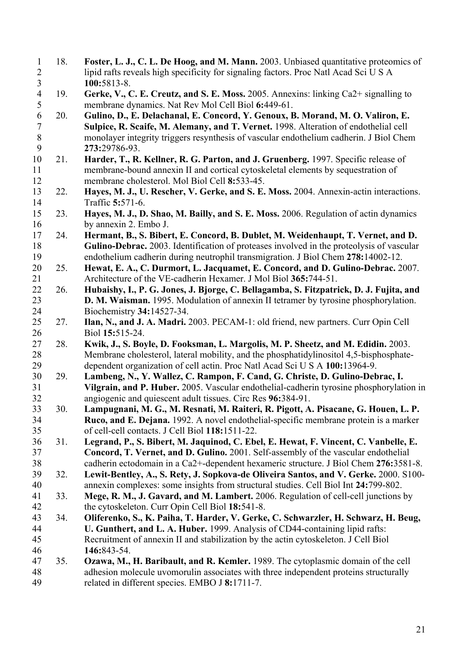18. **Foster, L. J., C. L. De Hoog, and M. Mann.** 2003. Unbiased quantitative proteomics of lipid rafts reveals high specificity for signaling factors. Proc Natl Acad Sci U S A **100:**5813-8. 1 2 3 4 5 6 7 8 9 10 11 12 13 14 15 16 17 18 19 20 21 22 23 24 25 26 27 28 29 30 31 32 33 34 35 36 37 38 39 40 41 42 43 44 45 46 47 48 49 19. **Gerke, V., C. E. Creutz, and S. E. Moss.** 2005. Annexins: linking Ca2+ signalling to membrane dynamics. Nat Rev Mol Cell Biol **6:**449-61. 20. **Gulino, D., E. Delachanal, E. Concord, Y. Genoux, B. Morand, M. O. Valiron, E. Sulpice, R. Scaife, M. Alemany, and T. Vernet.** 1998. Alteration of endothelial cell monolayer integrity triggers resynthesis of vascular endothelium cadherin. J Biol Chem **273:**29786-93. 21. **Harder, T., R. Kellner, R. G. Parton, and J. Gruenberg.** 1997. Specific release of membrane-bound annexin II and cortical cytoskeletal elements by sequestration of membrane cholesterol. Mol Biol Cell **8:**533-45. 22. **Hayes, M. J., U. Rescher, V. Gerke, and S. E. Moss.** 2004. Annexin-actin interactions. Traffic **5:**571-6. 23. **Hayes, M. J., D. Shao, M. Bailly, and S. E. Moss.** 2006. Regulation of actin dynamics by annexin 2. Embo J. 24. **Hermant, B., S. Bibert, E. Concord, B. Dublet, M. Weidenhaupt, T. Vernet, and D. Gulino-Debrac.** 2003. Identification of proteases involved in the proteolysis of vascular endothelium cadherin during neutrophil transmigration. J Biol Chem **278:**14002-12. 25. **Hewat, E. A., C. Durmort, L. Jacquamet, E. Concord, and D. Gulino-Debrac.** 2007. Architecture of the VE-cadherin Hexamer. J Mol Biol **365:**744-51. 26. **Hubaishy, I., P. G. Jones, J. Bjorge, C. Bellagamba, S. Fitzpatrick, D. J. Fujita, and D. M. Waisman.** 1995. Modulation of annexin II tetramer by tyrosine phosphorylation. Biochemistry **34:**14527-34. 27. **Ilan, N., and J. A. Madri.** 2003. PECAM-1: old friend, new partners. Curr Opin Cell Biol **15:**515-24. 28. **Kwik, J., S. Boyle, D. Fooksman, L. Margolis, M. P. Sheetz, and M. Edidin.** 2003. Membrane cholesterol, lateral mobility, and the phosphatidylinositol 4,5-bisphosphatedependent organization of cell actin. Proc Natl Acad Sci U S A **100:**13964-9. 29. **Lambeng, N., Y. Wallez, C. Rampon, F. Cand, G. Christe, D. Gulino-Debrac, I. Vilgrain, and P. Huber.** 2005. Vascular endothelial-cadherin tyrosine phosphorylation in angiogenic and quiescent adult tissues. Circ Res **96:**384-91. 30. **Lampugnani, M. G., M. Resnati, M. Raiteri, R. Pigott, A. Pisacane, G. Houen, L. P. Ruco, and E. Dejana.** 1992. A novel endothelial-specific membrane protein is a marker of cell-cell contacts. J Cell Biol **118:**1511-22. 31. **Legrand, P., S. Bibert, M. Jaquinod, C. Ebel, E. Hewat, F. Vincent, C. Vanbelle, E. Concord, T. Vernet, and D. Gulino.** 2001. Self-assembly of the vascular endothelial cadherin ectodomain in a Ca2+-dependent hexameric structure. J Biol Chem **276:**3581-8. 32. **Lewit-Bentley, A., S. Rety, J. Sopkova-de Oliveira Santos, and V. Gerke.** 2000. S100 annexin complexes: some insights from structural studies. Cell Biol Int **24:**799-802. 33. **Mege, R. M., J. Gavard, and M. Lambert.** 2006. Regulation of cell-cell junctions by the cytoskeleton. Curr Opin Cell Biol **18:**541-8. 34. **Oliferenko, S., K. Paiha, T. Harder, V. Gerke, C. Schwarzler, H. Schwarz, H. Beug, U. Gunthert, and L. A. Huber.** 1999. Analysis of CD44-containing lipid rafts: Recruitment of annexin II and stabilization by the actin cytoskeleton. J Cell Biol **146:**843-54. 35. **Ozawa, M., H. Baribault, and R. Kemler.** 1989. The cytoplasmic domain of the cell adhesion molecule uvomorulin associates with three independent proteins structurally related in different species. EMBO J **8:**1711-7.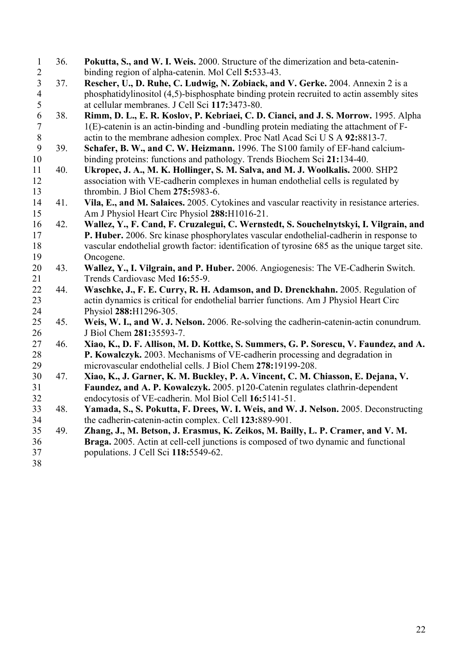- 36. **Pokutta, S., and W. I. Weis.** 2000. Structure of the dimerization and beta-cateninbinding region of alpha-catenin. Mol Cell **5:**533-43. 1 2 3 4 5 6 7 8 9 10 11 12 37. **Rescher, U., D. Ruhe, C. Ludwig, N. Zobiack, and V. Gerke.** 2004. Annexin 2 is a phosphatidylinositol (4,5)-bisphosphate binding protein recruited to actin assembly sites at cellular membranes. J Cell Sci **117:**3473-80. 38. **Rimm, D. L., E. R. Koslov, P. Kebriaei, C. D. Cianci, and J. S. Morrow.** 1995. Alpha 1(E)-catenin is an actin-binding and -bundling protein mediating the attachment of Factin to the membrane adhesion complex. Proc Natl Acad Sci U S A **92:**8813-7. 39. **Schafer, B. W., and C. W. Heizmann.** 1996. The S100 family of EF-hand calciumbinding proteins: functions and pathology. Trends Biochem Sci **21:**134-40. 40. **Ukropec, J. A., M. K. Hollinger, S. M. Salva, and M. J. Woolkalis.** 2000. SHP2 association with VE-cadherin complexes in human endothelial cells is regulated by
- 13 thrombin. J Biol Chem **275:**5983-6.
- 14 15 41. **Vila, E., and M. Salaices.** 2005. Cytokines and vascular reactivity in resistance arteries. Am J Physiol Heart Circ Physiol **288:**H1016-21.
- 16 17 18 19 42. **Wallez, Y., F. Cand, F. Cruzalegui, C. Wernstedt, S. Souchelnytskyi, I. Vilgrain, and P. Huber.** 2006. Src kinase phosphorylates vascular endothelial-cadherin in response to vascular endothelial growth factor: identification of tyrosine 685 as the unique target site. Oncogene.
- 20 21 43. **Wallez, Y., I. Vilgrain, and P. Huber.** 2006. Angiogenesis: The VE-Cadherin Switch. Trends Cardiovasc Med **16:**55-9.
- 22 23 24 44. **Waschke, J., F. E. Curry, R. H. Adamson, and D. Drenckhahn.** 2005. Regulation of actin dynamics is critical for endothelial barrier functions. Am J Physiol Heart Circ Physiol **288:**H1296-305.
- 25 26 45. **Weis, W. I., and W. J. Nelson.** 2006. Re-solving the cadherin-catenin-actin conundrum. J Biol Chem **281:**35593-7.
- 27 28 29 46. **Xiao, K., D. F. Allison, M. D. Kottke, S. Summers, G. P. Sorescu, V. Faundez, and A. P. Kowalczyk.** 2003. Mechanisms of VE-cadherin processing and degradation in microvascular endothelial cells. J Biol Chem **278:**19199-208.
- 30 31 32 47. **Xiao, K., J. Garner, K. M. Buckley, P. A. Vincent, C. M. Chiasson, E. Dejana, V. Faundez, and A. P. Kowalczyk.** 2005. p120-Catenin regulates clathrin-dependent endocytosis of VE-cadherin. Mol Biol Cell **16:**5141-51.
- 33 34 48. **Yamada, S., S. Pokutta, F. Drees, W. I. Weis, and W. J. Nelson.** 2005. Deconstructing the cadherin-catenin-actin complex. Cell **123:**889-901.
- 35 36 37 49. **Zhang, J., M. Betson, J. Erasmus, K. Zeikos, M. Bailly, L. P. Cramer, and V. M. Braga.** 2005. Actin at cell-cell junctions is composed of two dynamic and functional populations. J Cell Sci **118:**5549-62.
- 38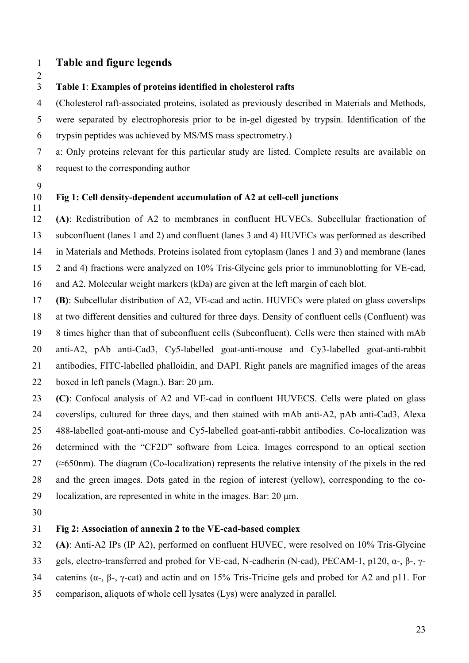# 1 **Table and figure legends**

### 2

### 3 **Table 1**: **Examples of proteins identified in cholesterol rafts**

4 (Cholesterol raft-associated proteins, isolated as previously described in Materials and Methods,

5 6 were separated by electrophoresis prior to be in-gel digested by trypsin. Identification of the trypsin peptides was achieved by MS/MS mass spectrometry.)

7 8 a: Only proteins relevant for this particular study are listed. Complete results are available on request to the corresponding author

9

11

### 10 **Fig 1: Cell density-dependent accumulation of A2 at cell-cell junctions**

12 13 14 15 **(A)**: Redistribution of A2 to membranes in confluent HUVECs. Subcellular fractionation of subconfluent (lanes 1 and 2) and confluent (lanes 3 and 4) HUVECs was performed as described in Materials and Methods. Proteins isolated from cytoplasm (lanes 1 and 3) and membrane (lanes 2 and 4) fractions were analyzed on 10% Tris-Glycine gels prior to immunoblotting for VE-cad,

16 and A2. Molecular weight markers (kDa) are given at the left margin of each blot.

17 **(B)**: Subcellular distribution of A2, VE-cad and actin. HUVECs were plated on glass coverslips

18 at two different densities and cultured for three days. Density of confluent cells (Confluent) was

19 8 times higher than that of subconfluent cells (Subconfluent). Cells were then stained with mAb

20 anti-A2, pAb anti-Cad3, Cy5-labelled goat-anti-mouse and Cy3-labelled goat-anti-rabbit

21 antibodies, FITC-labelled phalloidin, and DAPI. Right panels are magnified images of the areas

22 boxed in left panels (Magn.). Bar: 20 µm.

23 24 25 26 27 28 **(C)**: Confocal analysis of A2 and VE-cad in confluent HUVECS. Cells were plated on glass coverslips, cultured for three days, and then stained with mAb anti-A2, pAb anti-Cad3, Alexa 488-labelled goat-anti-mouse and Cy5-labelled goat-anti-rabbit antibodies. Co-localization was determined with the "CF2D" software from Leica. Images correspond to an optical section (≈650nm). The diagram (Co-localization) represents the relative intensity of the pixels in the red and the green images. Dots gated in the region of interest (yellow), corresponding to the co-

29 localization, are represented in white in the images. Bar: 20  $\mu$ m.

30

### 31 **Fig 2: Association of annexin 2 to the VE-cad-based complex**

32 **(A)**: Anti-A2 IPs (IP A2), performed on confluent HUVEC, were resolved on 10% Tris-Glycine

- 33 gels, electro-transferred and probed for VE-cad, N-cadherin (N-cad), PECAM-1, p120, α-, β-, γ-
- 34 catenins (α-, β-, γ-cat) and actin and on 15% Tris-Tricine gels and probed for A2 and p11. For
- 35 comparison, aliquots of whole cell lysates (Lys) were analyzed in parallel.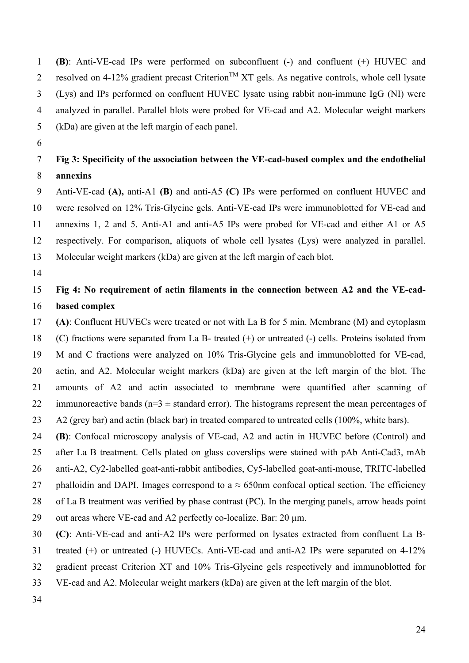**(B)**: Anti-VE-cad IPs were performed on subconfluent (-) and confluent (+) HUVEC and resolved on 4-12% gradient precast Criterion<sup>TM</sup> XT gels. As negative controls, whole cell lysate (Lys) and IPs performed on confluent HUVEC lysate using rabbit non-immune IgG (NI) were analyzed in parallel. Parallel blots were probed for VE-cad and A2. Molecular weight markers (kDa) are given at the left margin of each panel. 1 2 3 4 5

6

### 7 8 **Fig 3: Specificity of the association between the VE-cad-based complex and the endothelial annexins**

9 10 11 12 13 Anti-VE-cad **(A),** anti-A1 **(B)** and anti-A5 **(C)** IPs were performed on confluent HUVEC and were resolved on 12% Tris-Glycine gels. Anti-VE-cad IPs were immunoblotted for VE-cad and annexins 1, 2 and 5. Anti-A1 and anti-A5 IPs were probed for VE-cad and either A1 or A5 respectively. For comparison, aliquots of whole cell lysates (Lys) were analyzed in parallel. Molecular weight markers (kDa) are given at the left margin of each blot.

14

### 15 16 **Fig 4: No requirement of actin filaments in the connection between A2 and the VE-cadbased complex**

17 18 19 20 21 22 23 **(A)**: Confluent HUVECs were treated or not with La B for 5 min. Membrane (M) and cytoplasm (C) fractions were separated from La B- treated (+) or untreated (-) cells. Proteins isolated from M and C fractions were analyzed on 10% Tris-Glycine gels and immunoblotted for VE-cad, actin, and A2. Molecular weight markers (kDa) are given at the left margin of the blot. The amounts of A2 and actin associated to membrane were quantified after scanning of immunoreactive bands ( $n=3 \pm$  standard error). The histograms represent the mean percentages of A2 (grey bar) and actin (black bar) in treated compared to untreated cells (100%, white bars).

24 **(B)**: Confocal microscopy analysis of VE-cad, A2 and actin in HUVEC before (Control) and

25 26 after La B treatment. Cells plated on glass coverslips were stained with pAb Anti-Cad3, mAb anti-A2, Cy2-labelled goat-anti-rabbit antibodies, Cy5-labelled goat-anti-mouse, TRITC-labelled

27 phalloidin and DAPI. Images correspond to a  $\approx$  650nm confocal optical section. The efficiency

28 of La B treatment was verified by phase contrast (PC). In the merging panels, arrow heads point

29 out areas where VE-cad and A2 perfectly co-localize. Bar: 20 µm.

30 **(C)**: Anti-VE-cad and anti-A2 IPs were performed on lysates extracted from confluent La B-

31 treated (+) or untreated (-) HUVECs. Anti-VE-cad and anti-A2 IPs were separated on 4-12%

- 32 gradient precast Criterion XT and 10% Tris-Glycine gels respectively and immunoblotted for
- 33 VE-cad and A2. Molecular weight markers (kDa) are given at the left margin of the blot.
- 34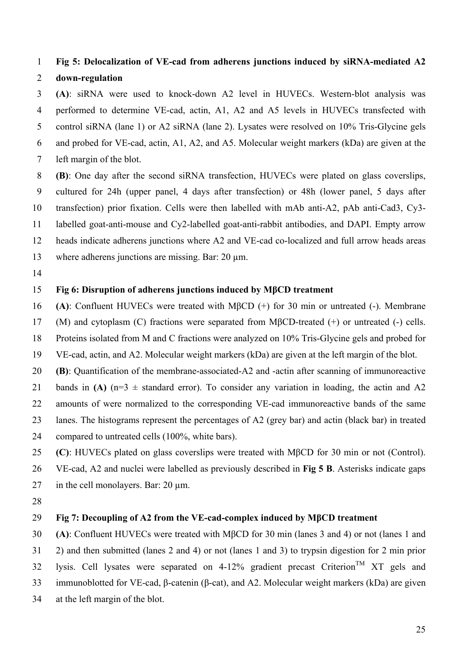### **Fig 5: Delocalization of VE-cad from adherens junctions induced by siRNA-mediated A2 down-regulation** 1 2

3 4 5 6 7 **(A)**: siRNA were used to knock-down A2 level in HUVECs. Western-blot analysis was performed to determine VE-cad, actin, A1, A2 and A5 levels in HUVECs transfected with control siRNA (lane 1) or A2 siRNA (lane 2). Lysates were resolved on 10% Tris-Glycine gels and probed for VE-cad, actin, A1, A2, and A5. Molecular weight markers (kDa) are given at the left margin of the blot.

- 8 9 10 11 12 **(B)**: One day after the second siRNA transfection, HUVECs were plated on glass coverslips, cultured for 24h (upper panel, 4 days after transfection) or 48h (lower panel, 5 days after transfection) prior fixation. Cells were then labelled with mAb anti-A2, pAb anti-Cad3, Cy3 labelled goat-anti-mouse and Cy2-labelled goat-anti-rabbit antibodies, and DAPI. Empty arrow heads indicate adherens junctions where A2 and VE-cad co-localized and full arrow heads areas
- 13 where adherens junctions are missing. Bar: 20  $\mu$ m.
- 14

### 15 **Fig 6: Disruption of adherens junctions induced by MβCD treatment**

- 16 **(A)**: Confluent HUVECs were treated with MβCD (+) for 30 min or untreated (-). Membrane
- 17 (M) and cytoplasm (C) fractions were separated from MβCD-treated (+) or untreated (-) cells.
- 18 Proteins isolated from M and C fractions were analyzed on 10% Tris-Glycine gels and probed for
- 19 VE-cad, actin, and A2. Molecular weight markers (kDa) are given at the left margin of the blot.
- 20 **(B)**: Quantification of the membrane-associated-A2 and -actin after scanning of immunoreactive
- 21 bands in **(A)** ( $n=3 \pm$  standard error). To consider any variation in loading, the actin and A2
- 22 amounts of were normalized to the corresponding VE-cad immunoreactive bands of the same
- 23 lanes. The histograms represent the percentages of A2 (grey bar) and actin (black bar) in treated
- 24 compared to untreated cells (100%, white bars).
- 25 **(C)**: HUVECs plated on glass coverslips were treated with MβCD for 30 min or not (Control).
- 26 VE-cad, A2 and nuclei were labelled as previously described in **Fig 5 B**. Asterisks indicate gaps
- 27 in the cell monolayers. Bar:  $20 \mu m$ .
- 28

#### 29 **Fig 7: Decoupling of A2 from the VE-cad-complex induced by MβCD treatment**

30 31 32 33 **(A)**: Confluent HUVECs were treated with MβCD for 30 min (lanes 3 and 4) or not (lanes 1 and 2) and then submitted (lanes 2 and 4) or not (lanes 1 and 3) to trypsin digestion for 2 min prior lysis. Cell lysates were separated on 4-12% gradient precast Criterion<sup>TM</sup> XT gels and immunoblotted for VE-cad, β-catenin (β-cat), and A2. Molecular weight markers (kDa) are given

34 at the left margin of the blot.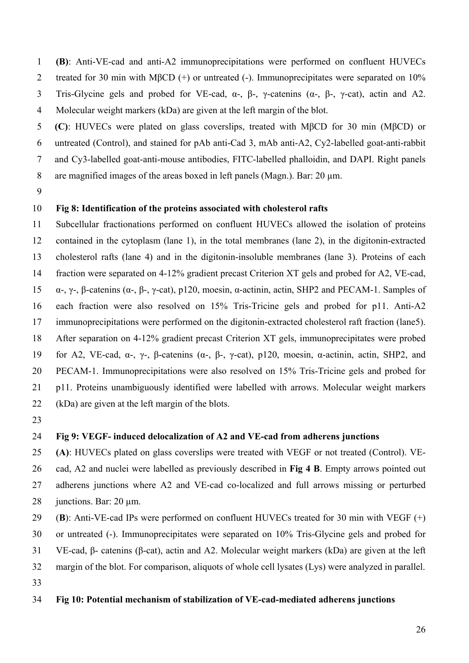**(B)**: Anti-VE-cad and anti-A2 immunoprecipitations were performed on confluent HUVECs treated for 30 min with MβCD (+) or untreated (-). Immunoprecipitates were separated on 10% Tris-Glycine gels and probed for VE-cad,  $\alpha$ -,  $\beta$ -,  $\gamma$ -catenins ( $\alpha$ -,  $\beta$ -,  $\gamma$ -cat), actin and A2. Molecular weight markers (kDa) are given at the left margin of the blot. 1 2 3 4

5 6 7 8 **(C)**: HUVECs were plated on glass coverslips, treated with MβCD for 30 min (MβCD) or untreated (Control), and stained for pAb anti-Cad 3, mAb anti-A2, Cy2-labelled goat-anti-rabbit and Cy3-labelled goat-anti-mouse antibodies, FITC-labelled phalloidin, and DAPI. Right panels are magnified images of the areas boxed in left panels (Magn.). Bar: 20  $\mu$ m.

9

### 10 **Fig 8: Identification of the proteins associated with cholesterol rafts**

11 12 13 14 15 16 17 18 19 20 21 22 Subcellular fractionations performed on confluent HUVECs allowed the isolation of proteins contained in the cytoplasm (lane 1), in the total membranes (lane 2), in the digitonin-extracted cholesterol rafts (lane 4) and in the digitonin-insoluble membranes (lane 3). Proteins of each fraction were separated on 4-12% gradient precast Criterion XT gels and probed for A2, VE-cad, α-, γ-, β-catenins (α-, β-, γ-cat), p120, moesin, α-actinin, actin, SHP2 and PECAM-1. Samples of each fraction were also resolved on 15% Tris-Tricine gels and probed for p11. Anti-A2 immunoprecipitations were performed on the digitonin-extracted cholesterol raft fraction (lane5). After separation on 4-12% gradient precast Criterion XT gels, immunoprecipitates were probed for A2, VE-cad, α-, γ-, β-catenins (α-, β-, γ-cat), p120, moesin, α-actinin, actin, SHP2, and PECAM-1. Immunoprecipitations were also resolved on 15% Tris-Tricine gels and probed for p11. Proteins unambiguously identified were labelled with arrows. Molecular weight markers (kDa) are given at the left margin of the blots.

23

### 24 **Fig 9: VEGF- induced delocalization of A2 and VE-cad from adherens junctions**

25 26 27 28 **(A)**: HUVECs plated on glass coverslips were treated with VEGF or not treated (Control). VEcad, A2 and nuclei were labelled as previously described in **Fig 4 B**. Empty arrows pointed out adherens junctions where A2 and VE-cad co-localized and full arrows missing or perturbed junctions. Bar: 20 µm.

- 29 (**B**): Anti-VE-cad IPs were performed on confluent HUVECs treated for 30 min with VEGF (+)
- 30 or untreated (-). Immunoprecipitates were separated on 10% Tris-Glycine gels and probed for

31 VE-cad, β- catenins (β-cat), actin and A2. Molecular weight markers (kDa) are given at the left

32 33 margin of the blot. For comparison, aliquots of whole cell lysates (Lys) were analyzed in parallel.

### 34 **Fig 10: Potential mechanism of stabilization of VE-cad-mediated adherens junctions**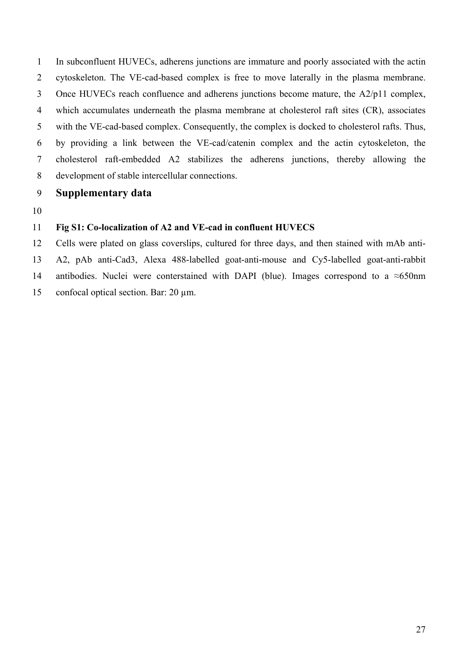1 2 3 4 5 6 7 8 In subconfluent HUVECs, adherens junctions are immature and poorly associated with the actin cytoskeleton. The VE-cad-based complex is free to move laterally in the plasma membrane. Once HUVECs reach confluence and adherens junctions become mature, the A2/p11 complex, which accumulates underneath the plasma membrane at cholesterol raft sites (CR), associates with the VE-cad-based complex. Consequently, the complex is docked to cholesterol rafts. Thus, by providing a link between the VE-cad/catenin complex and the actin cytoskeleton, the cholesterol raft-embedded A2 stabilizes the adherens junctions, thereby allowing the development of stable intercellular connections.

- 9 **Supplementary data**
- 10

### 11 **Fig S1: Co-localization of A2 and VE-cad in confluent HUVECS**

12 13 14 15 Cells were plated on glass coverslips, cultured for three days, and then stained with mAb anti-A2, pAb anti-Cad3, Alexa 488-labelled goat-anti-mouse and Cy5-labelled goat-anti-rabbit antibodies. Nuclei were conterstained with DAPI (blue). Images correspond to a  $\approx 650$ nm confocal optical section. Bar: 20 µm.